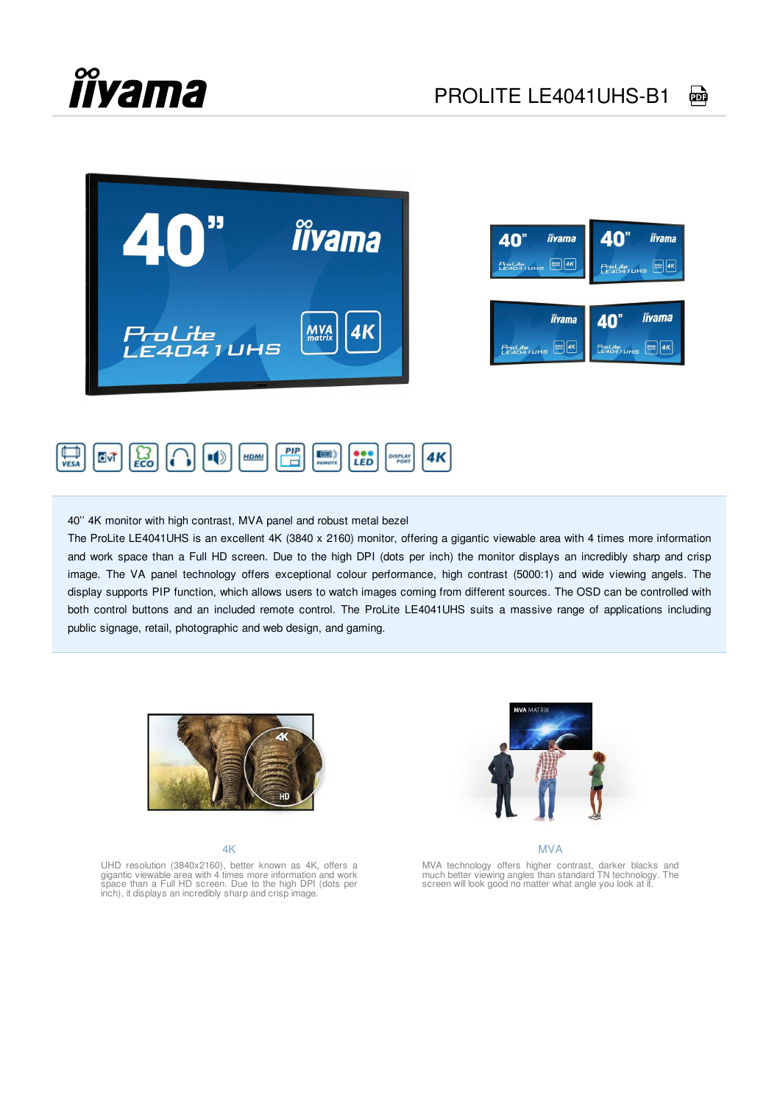





40'' 4K monitor with high contrast, MVA panel and robust metal bezel

The ProLite LE4041UHS is an excellent 4K (3840 x 2160) monitor, offering a gigantic viewable area with 4 times more information and work space than a Full HD screen. Due to the high DPI (dots per inch) the monitor displays an incredibly sharp and crisp image. The VA panel technology offers exceptional colour performance, high contrast (5000:1) and wide viewing angels. The display supports PIP function, which allows users to watch images coming from different sources. The OSD can be controlled with both control buttons and an included remote control. The ProLite LE4041UHS suits a massive range of applications including public signage, retail, photographic and web design, and gaming.



4K

MVA

MVA technology offers higher contrast, darker blacks and much better viewing angles than standard TN technology. The screen will look good no matter what angle you look at it.

UHD resolution (3840x2160), better known as 4K, offers a<br>gigantic viewable area with 4 times more information and work<br>space than a Full HD screen. Due to the high DPI (dots per<br>inch), it displays an incredibly sharp and c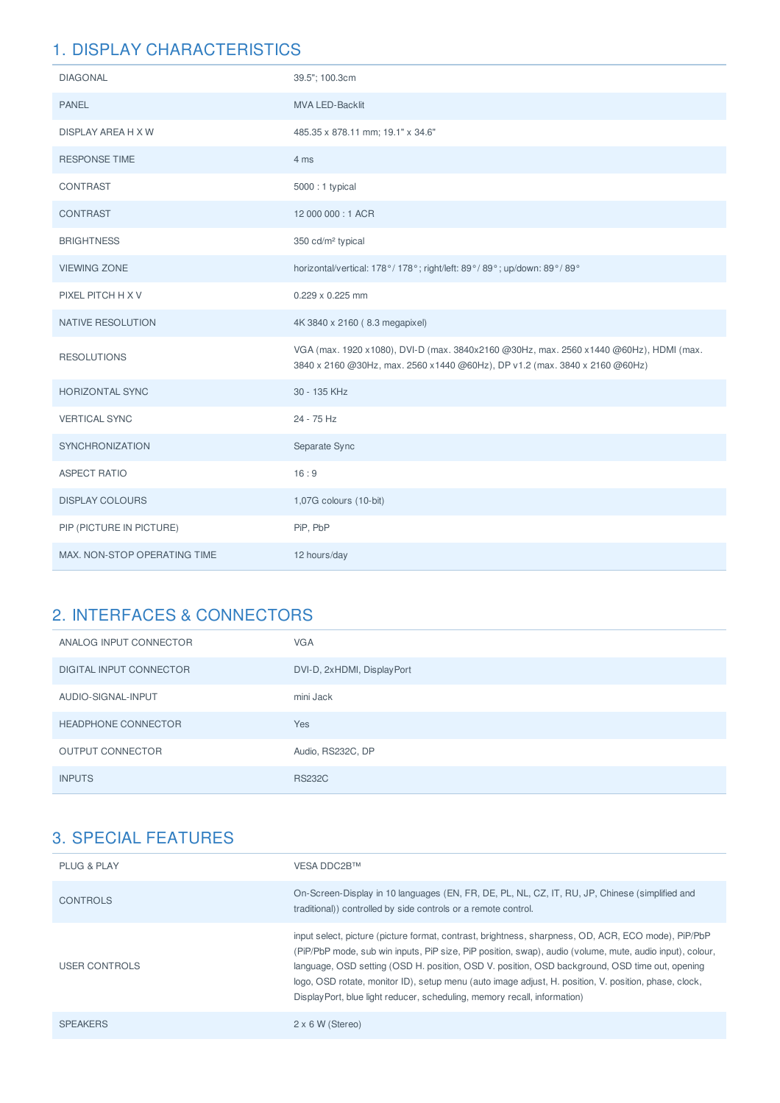| <b>DIAGONAL</b>              | 39.5"; 100.3cm                                                                                                                                                         |
|------------------------------|------------------------------------------------------------------------------------------------------------------------------------------------------------------------|
| <b>PANEL</b>                 | MVA LED-Backlit                                                                                                                                                        |
| <b>DISPLAY AREA H X W</b>    | 485.35 x 878.11 mm; 19.1" x 34.6"                                                                                                                                      |
| <b>RESPONSE TIME</b>         | 4 ms                                                                                                                                                                   |
| CONTRAST                     | 5000:1 typical                                                                                                                                                         |
| CONTRAST                     | 12 000 000:1 ACR                                                                                                                                                       |
| <b>BRIGHTNESS</b>            | 350 cd/m <sup>2</sup> typical                                                                                                                                          |
| <b>VIEWING ZONE</b>          | horizontal/vertical: 178°/178°; right/left: 89°/89°; up/down: 89°/89°                                                                                                  |
| PIXEL PITCH H X V            | 0.229 x 0.225 mm                                                                                                                                                       |
| NATIVE RESOLUTION            | 4K 3840 x 2160 (8.3 megapixel)                                                                                                                                         |
| <b>RESOLUTIONS</b>           | VGA (max. 1920 x1080), DVI-D (max. 3840x2160 @30Hz, max. 2560 x1440 @60Hz), HDMI (max.<br>3840 x 2160 @30Hz, max. 2560 x 1440 @60Hz), DP v1.2 (max. 3840 x 2160 @60Hz) |
| <b>HORIZONTAL SYNC</b>       | 30 - 135 KHz                                                                                                                                                           |
| <b>VERTICAL SYNC</b>         | 24 - 75 Hz                                                                                                                                                             |
| SYNCHRONIZATION              | Separate Sync                                                                                                                                                          |
| <b>ASPECT RATIO</b>          | 16:9                                                                                                                                                                   |
| <b>DISPLAY COLOURS</b>       | 1,07G colours (10-bit)                                                                                                                                                 |
| PIP (PICTURE IN PICTURE)     | PiP, PbP                                                                                                                                                               |
| MAX. NON-STOP OPERATING TIME | 12 hours/day                                                                                                                                                           |

## 2. INTERFACES & CONNECTORS

| ANALOG INPUT CONNECTOR     | <b>VGA</b>                 |
|----------------------------|----------------------------|
| DIGITAL INPUT CONNECTOR    | DVI-D, 2xHDMI, DisplayPort |
| AUDIO-SIGNAL-INPUT         | mini Jack                  |
| <b>HEADPHONE CONNECTOR</b> | Yes                        |
| <b>OUTPUT CONNECTOR</b>    | Audio, RS232C, DP          |
| <b>INPUTS</b>              | <b>RS232C</b>              |

| PLUG & PLAY     | VESA DDC2B™                                                                                                                                                                                                                                                                                                                                                                                                                                                                                            |
|-----------------|--------------------------------------------------------------------------------------------------------------------------------------------------------------------------------------------------------------------------------------------------------------------------------------------------------------------------------------------------------------------------------------------------------------------------------------------------------------------------------------------------------|
| <b>CONTROLS</b> | On-Screen-Display in 10 languages (EN, FR, DE, PL, NL, CZ, IT, RU, JP, Chinese (simplified and<br>traditional)) controlled by side controls or a remote control.                                                                                                                                                                                                                                                                                                                                       |
| USER CONTROLS   | input select, picture (picture format, contrast, brightness, sharpness, OD, ACR, ECO mode), PiP/PbP<br>(PiP/PbP mode, sub win inputs, PiP size, PiP position, swap), audio (volume, mute, audio input), colour,<br>language, OSD setting (OSD H. position, OSD V. position, OSD background, OSD time out, opening<br>logo, OSD rotate, monitor ID), setup menu (auto image adjust, H. position, V. position, phase, clock,<br>DisplayPort, blue light reducer, scheduling, memory recall, information) |
| <b>SPEAKERS</b> | $2 \times 6$ W (Stereo)                                                                                                                                                                                                                                                                                                                                                                                                                                                                                |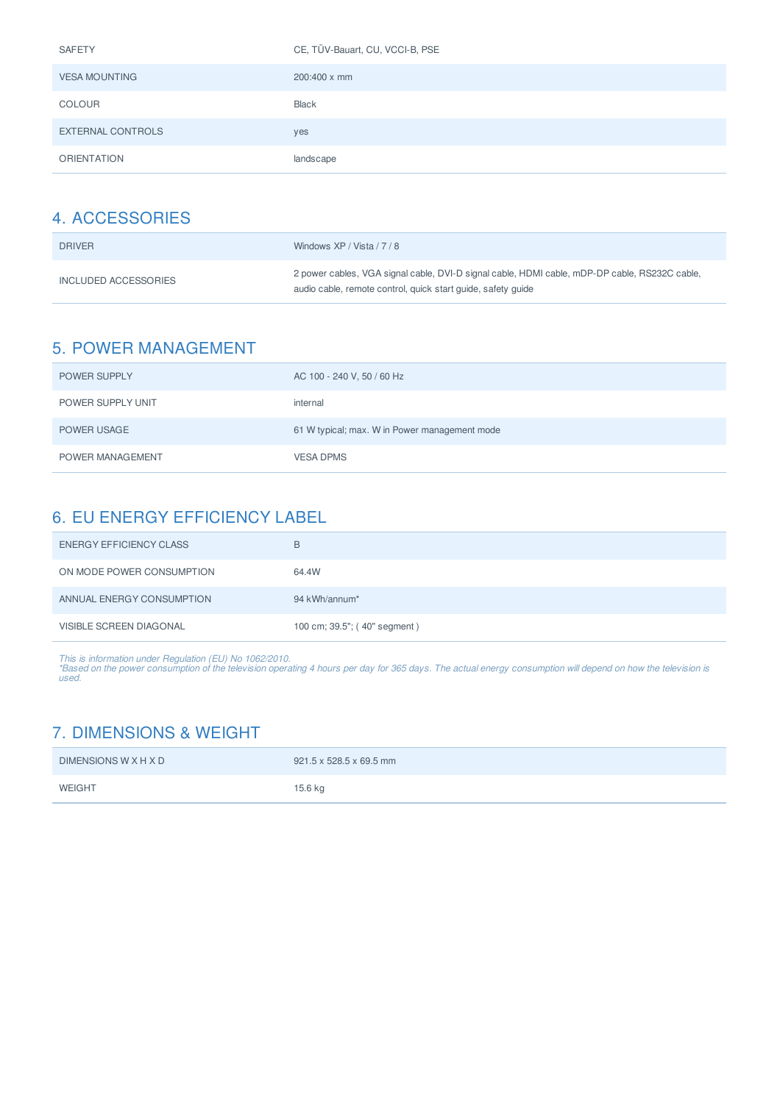| <b>SAFETY</b>        | CE, TÜV-Bauart, CU, VCCI-B, PSE |
|----------------------|---------------------------------|
| <b>VESA MOUNTING</b> | $200:400 \times \text{mm}$      |
| <b>COLOUR</b>        | <b>Black</b>                    |
| EXTERNAL CONTROLS    | yes                             |
| <b>ORIENTATION</b>   | landscape                       |

| <b>DRIVER</b>        | Windows XP / Vista / 7 / 8                                                                                                                                    |
|----------------------|---------------------------------------------------------------------------------------------------------------------------------------------------------------|
| INCLUDED ACCESSORIES | 2 power cables, VGA signal cable, DVI-D signal cable, HDMI cable, mDP-DP cable, RS232C cable,<br>audio cable, remote control, quick start quide, safety quide |

## 5. POWER MANAGEMENT

| <b>POWER SUPPLY</b> | AC 100 - 240 V, 50 / 60 Hz                    |
|---------------------|-----------------------------------------------|
| POWER SUPPLY UNIT   | internal                                      |
| POWER USAGE         | 61 W typical; max. W in Power management mode |
| POWER MANAGEMENT    | <b>VESA DPMS</b>                              |

## 6. EU ENERGY EFFICIENCY LABEL

| <b>ENERGY EFFICIENCY CLASS</b> | В                            |
|--------------------------------|------------------------------|
| ON MODE POWER CONSUMPTION      | 64.4W                        |
| ANNUAL ENERGY CONSUMPTION      | 94 kWh/annum*                |
| <b>VISIBLE SCREEN DIAGONAL</b> | 100 cm; 39.5"; (40" segment) |

This is information under Regulation (EU) No 1062/2010.<br>\*Based on the power consumption of the television operating 4 hours per day for 365 days. The actual energy consumption will depend on how the television is<br>used.

## 7. DIMENSIONS & WEIGHT

| <b>DIMENSIONS W X H X D</b> | 921.5 x 528.5 x 69.5 mm |
|-----------------------------|-------------------------|
| <b>WEIGHT</b>               | 15.6 kg                 |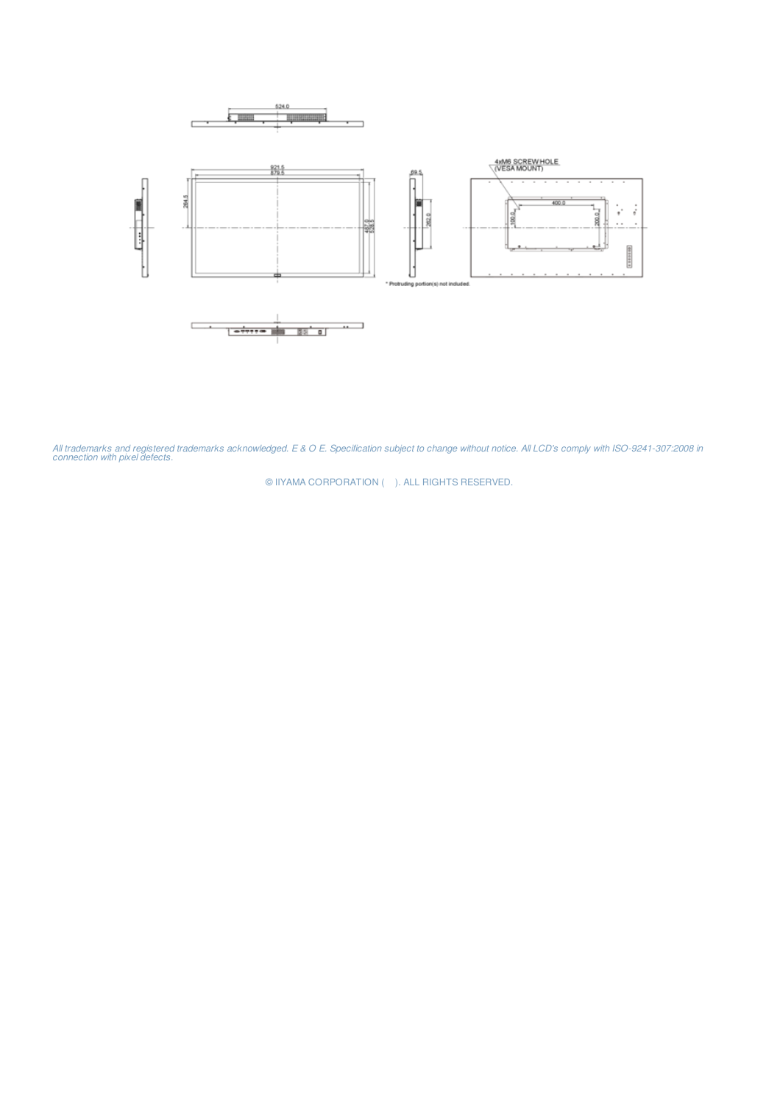

*All trademarks and registered trademarks acknowledged. E & O E. Specification subject to change without notice. All LCD's comply with ISO-9241-307:2008 in connection with pixel defects.*

© IIYAMA CORPORATION (). ALL RIGHTS RESERVED.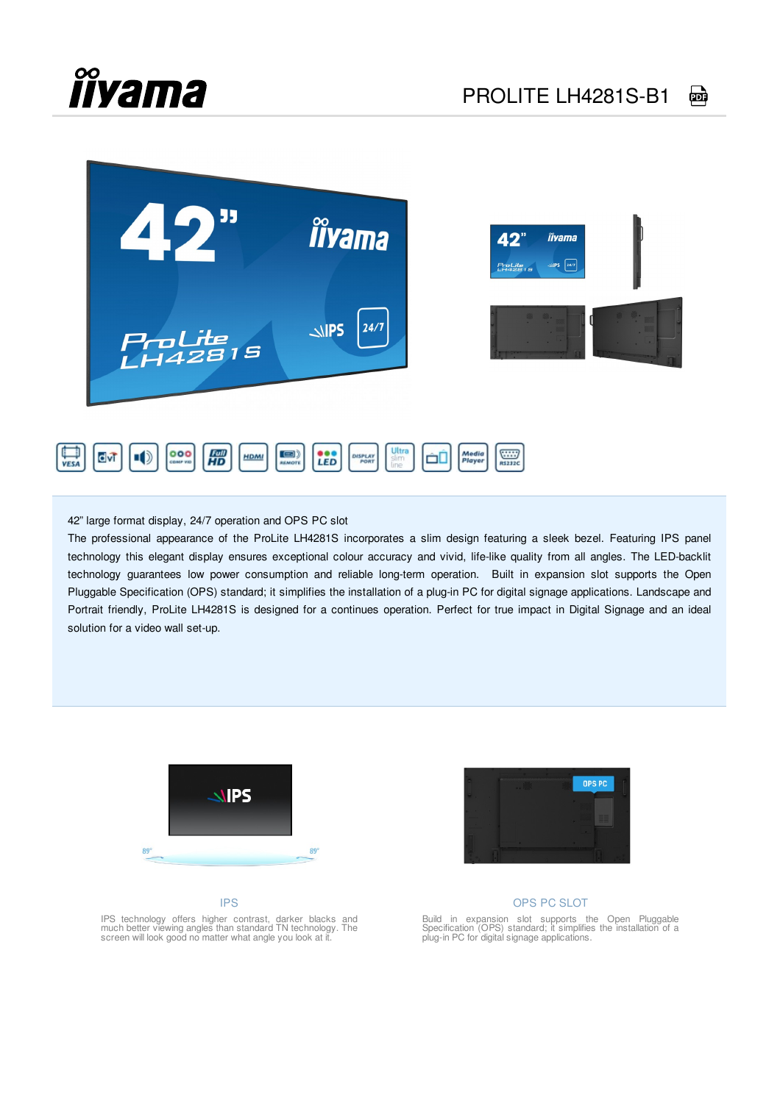

42" large format display, 24/7 operation and OPS PC slot

The professional appearance of the ProLite LH4281S incorporates a slim design featuring a sleek bezel. Featuring IPS panel technology this elegant display ensures exceptional colour accuracy and vivid, life-like quality from all angles. The LED-backlit technology guarantees low power consumption and reliable long-term operation. Built in expansion slot supports the Open Pluggable Specification (OPS) standard; it simplifies the installation of a plug-in PC for digital signage applications. Landscape and Portrait friendly, ProLite LH4281S is designed for a continues operation. Perfect for true impact in Digital Signage and an ideal solution for a video wall set-up.



#### IPS



#### OPS PC SLOT

IPS technology offers higher contrast, darker blacks and much better viewing angles than standard TN technology. The screen will look good no matter what angle you look at it. Build in expansion slot supports the Open Pluggable Specification (OPS) standard; it simplifies the installation of a plug-in PC for digital signage applications.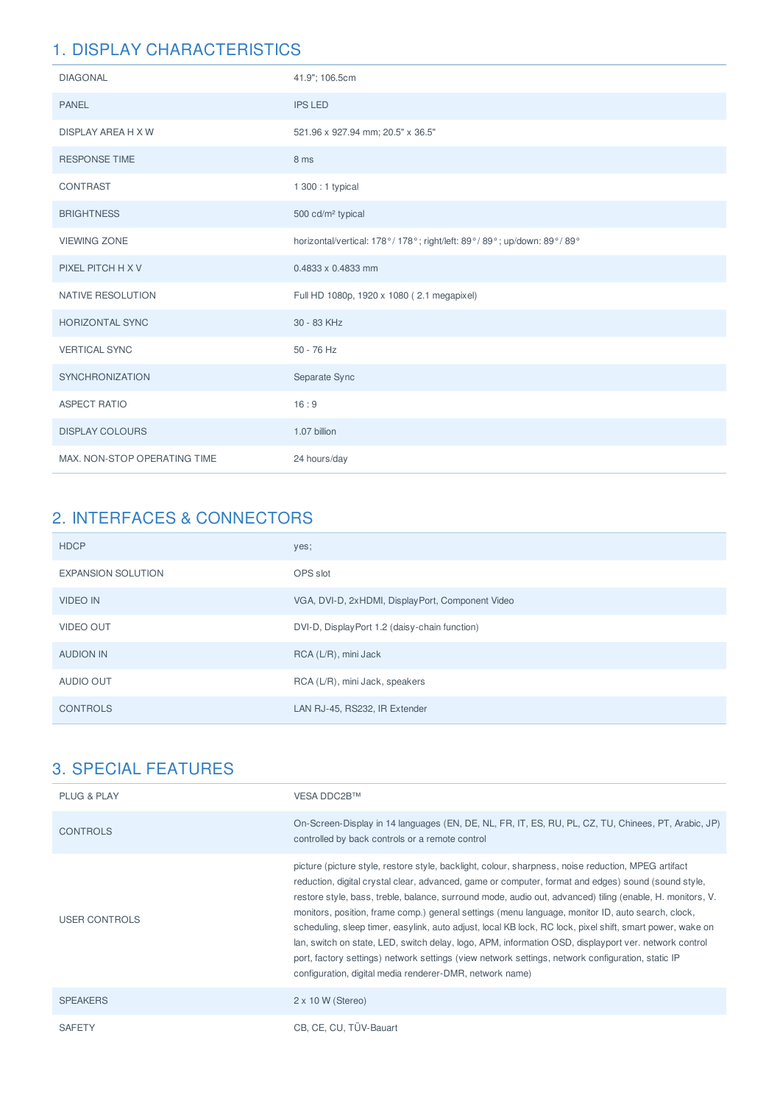| <b>DIAGONAL</b>              | 41.9"; 106.5cm                                                        |
|------------------------------|-----------------------------------------------------------------------|
| <b>PANEL</b>                 | <b>IPS LED</b>                                                        |
| DISPLAY AREA H X W           | 521.96 x 927.94 mm; 20.5" x 36.5"                                     |
| <b>RESPONSE TIME</b>         | 8 ms                                                                  |
| CONTRAST                     | 1 300 : 1 typical                                                     |
| <b>BRIGHTNESS</b>            | 500 cd/m <sup>2</sup> typical                                         |
| <b>VIEWING ZONE</b>          | horizontal/vertical: 178°/178°; right/left: 89°/89°; up/down: 89°/89° |
| PIXEL PITCH H X V            | $0.4833 \times 0.4833$ mm                                             |
| NATIVE RESOLUTION            | Full HD 1080p, 1920 x 1080 (2.1 megapixel)                            |
| <b>HORIZONTAL SYNC</b>       | 30 - 83 KHz                                                           |
| <b>VERTICAL SYNC</b>         | 50 - 76 Hz                                                            |
| <b>SYNCHRONIZATION</b>       | Separate Sync                                                         |
| <b>ASPECT RATIO</b>          | 16:9                                                                  |
| <b>DISPLAY COLOURS</b>       | 1.07 billion                                                          |
| MAX. NON-STOP OPERATING TIME | 24 hours/day                                                          |

## 2. INTERFACES & CONNECTORS

| <b>HDCP</b>               | yes;                                             |
|---------------------------|--------------------------------------------------|
| <b>EXPANSION SOLUTION</b> | OPS slot                                         |
| <b>VIDEO IN</b>           | VGA, DVI-D, 2xHDMI, DisplayPort, Component Video |
| <b>VIDEO OUT</b>          | DVI-D, DisplayPort 1.2 (daisy-chain function)    |
| <b>AUDION IN</b>          | RCA (L/R), mini Jack                             |
| AUDIO OUT                 | RCA (L/R), mini Jack, speakers                   |
| <b>CONTROLS</b>           | LAN RJ-45, RS232, IR Extender                    |

| <b>PLUG &amp; PLAY</b> | VESA DDC2B™                                                                                                                                                                                                                                                                                                                                                                                                                                                                                                                                                                                                                                                                                                                                                                                                         |
|------------------------|---------------------------------------------------------------------------------------------------------------------------------------------------------------------------------------------------------------------------------------------------------------------------------------------------------------------------------------------------------------------------------------------------------------------------------------------------------------------------------------------------------------------------------------------------------------------------------------------------------------------------------------------------------------------------------------------------------------------------------------------------------------------------------------------------------------------|
| <b>CONTROLS</b>        | On-Screen-Display in 14 languages (EN, DE, NL, FR, IT, ES, RU, PL, CZ, TU, Chinees, PT, Arabic, JP)<br>controlled by back controls or a remote control                                                                                                                                                                                                                                                                                                                                                                                                                                                                                                                                                                                                                                                              |
| <b>USER CONTROLS</b>   | picture (picture style, restore style, backlight, colour, sharpness, noise reduction, MPEG artifact<br>reduction, digital crystal clear, advanced, game or computer, format and edges) sound (sound style,<br>restore style, bass, treble, balance, surround mode, audio out, advanced) tiling (enable, H. monitors, V.<br>monitors, position, frame comp.) general settings (menu language, monitor ID, auto search, clock,<br>scheduling, sleep timer, easylink, auto adjust, local KB lock, RC lock, pixel shift, smart power, wake on<br>lan, switch on state, LED, switch delay, logo, APM, information OSD, displayport ver, network control<br>port, factory settings) network settings (view network settings, network configuration, static IP<br>configuration, digital media renderer-DMR, network name) |
| <b>SPEAKERS</b>        | $2 \times 10$ W (Stereo)                                                                                                                                                                                                                                                                                                                                                                                                                                                                                                                                                                                                                                                                                                                                                                                            |
| <b>SAFETY</b>          | CB, CE, CU, TÜV-Bauart                                                                                                                                                                                                                                                                                                                                                                                                                                                                                                                                                                                                                                                                                                                                                                                              |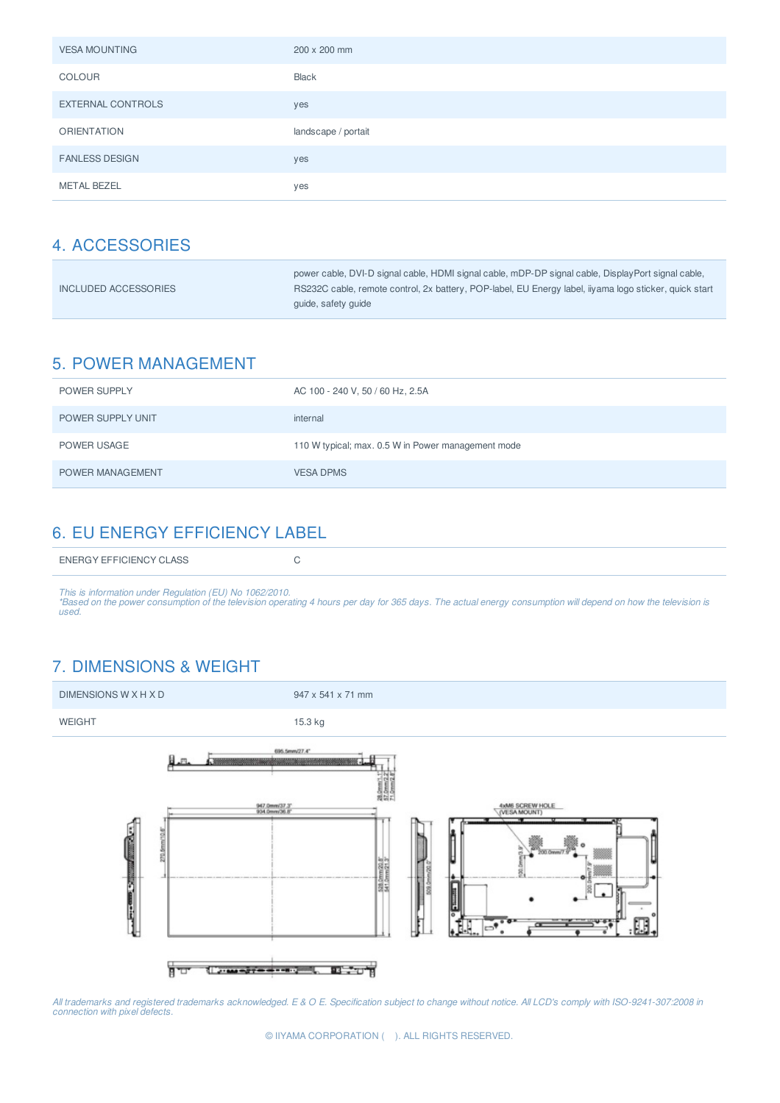| <b>VESA MOUNTING</b>     | 200 x 200 mm        |
|--------------------------|---------------------|
| <b>COLOUR</b>            | <b>Black</b>        |
| <b>EXTERNAL CONTROLS</b> | yes                 |
| <b>ORIENTATION</b>       | landscape / portait |
| <b>FANLESS DESIGN</b>    | yes                 |
| <b>METAL BEZEL</b>       | yes                 |

|                      | power cable, DVI-D signal cable, HDMI signal cable, mDP-DP signal cable, DisplayPort signal cable,     |
|----------------------|--------------------------------------------------------------------------------------------------------|
| INCLUDED ACCESSORIES | RS232C cable, remote control, 2x battery, POP-label, EU Energy label, iiyama logo sticker, quick start |
|                      | quide, safety quide                                                                                    |

## 5. POWER MANAGEMENT

| <b>POWER SUPPLY</b>     | AC 100 - 240 V, 50 / 60 Hz, 2.5A                   |
|-------------------------|----------------------------------------------------|
| POWER SUPPLY UNIT       | internal                                           |
| POWER USAGE             | 110 W typical; max. 0.5 W in Power management mode |
| <b>POWER MANAGEMENT</b> | <b>VESA DPMS</b>                                   |

## 6. EU ENERGY EFFICIENCY LABEL

|--|--|

This is information under Regulation (EU) No 1062/2010.<br>\*Based on the power consumption of the television operating 4 hours per day for 365 days. The actual energy consumption will depend on how the television is *used.*

## 7. DIMENSIONS & WEIGHT



All trademarks and registered trademarks acknowledged. E & O E. Specification subject to change without notice. All LCD's comply with ISO-9241-307:2008 in<br>connection with pixel defects.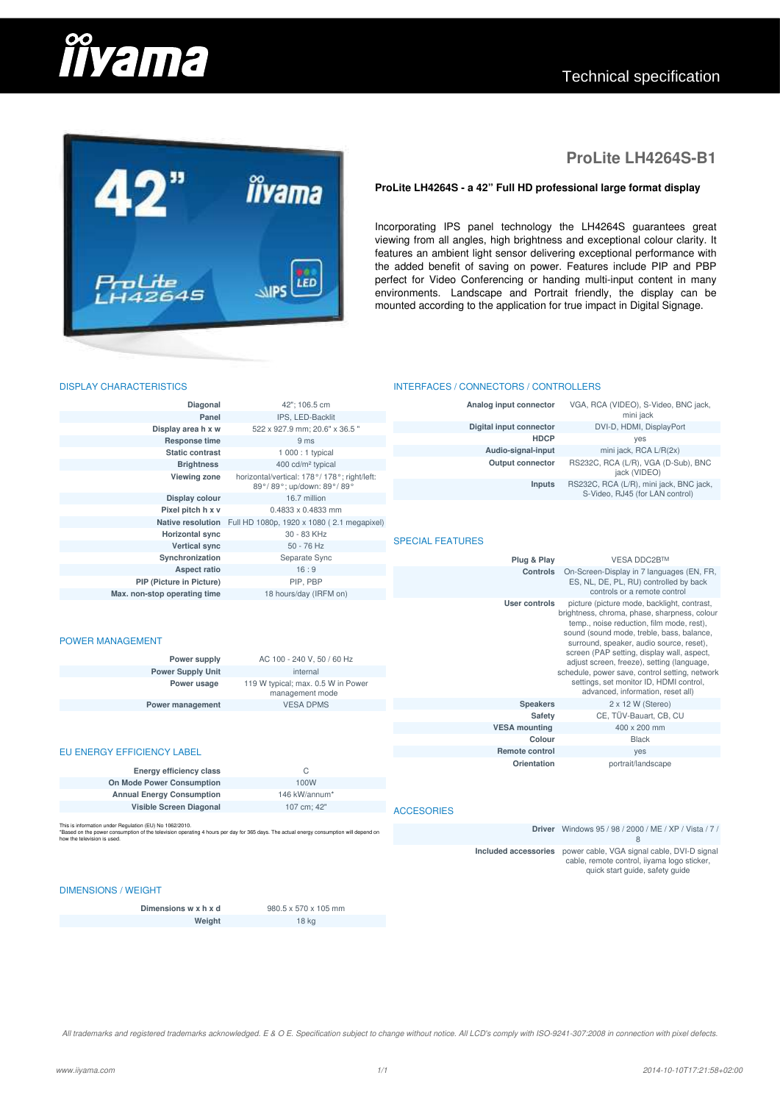# **îîvama**

## Technical specification



## **ProLite LH4264S-B1**

#### ProLite LH4264S - a 42" Full HD professional large format display

Incorporating IPS panel technology the LH4264S guarantees great viewing from all angles, high brightness and exceptional colour clarity. It features an ambient light sensor delivering exceptional performance with the added benefit of saving on power. Features include PIP and PBP perfect for Video Conferencing or handing multi-input content in many environments. Landscape and Portrait friendly, the display can be mounted according to the application for true impact in Digital Signage.

INTERFACES / CONNECTORS / CONTROLLERS

#### DISPLAY CHARACTERISTICS

| Diagonal                                                                                                                                                                                                                         | 42": 106.5 cm                                                                 | Analog input connector  | VGA, RCA (VIDEO), S-Video, BNC jack,                                                                                                                                                                                              |
|----------------------------------------------------------------------------------------------------------------------------------------------------------------------------------------------------------------------------------|-------------------------------------------------------------------------------|-------------------------|-----------------------------------------------------------------------------------------------------------------------------------------------------------------------------------------------------------------------------------|
| Panel                                                                                                                                                                                                                            | IPS, LED-Backlit                                                              |                         | mini jack                                                                                                                                                                                                                         |
| Display area h x w                                                                                                                                                                                                               | 522 x 927.9 mm; 20.6" x 36.5"                                                 | Digital input connector | DVI-D, HDMI, DisplayPort                                                                                                                                                                                                          |
| Response time                                                                                                                                                                                                                    | 9 ms                                                                          | <b>HDCP</b>             | yes                                                                                                                                                                                                                               |
| <b>Static contrast</b>                                                                                                                                                                                                           | 1 000 : 1 typical                                                             | Audio-signal-input      | mini jack, RCA L/R(2x)                                                                                                                                                                                                            |
| <b>Brightness</b><br><b>Viewing zone</b>                                                                                                                                                                                         | 400 cd/m <sup>2</sup> typical<br>horizontal/vertical: 178°/ 178°; right/left: | Output connector        | RS232C, RCA (L/R), VGA (D-Sub), BNC<br>jack (VIDEO)                                                                                                                                                                               |
|                                                                                                                                                                                                                                  | 89°/89°; up/down: 89°/89°                                                     | Inputs                  | RS232C, RCA (L/R), mini jack, BNC jack,<br>S-Video, RJ45 (for LAN control)                                                                                                                                                        |
| Display colour                                                                                                                                                                                                                   | 16.7 million                                                                  |                         |                                                                                                                                                                                                                                   |
| Pixel pitch h x v                                                                                                                                                                                                                | $0.4833 \times 0.4833$ mm                                                     |                         |                                                                                                                                                                                                                                   |
|                                                                                                                                                                                                                                  | Native resolution Full HD 1080p, 1920 x 1080 (2.1 megapixel)                  |                         |                                                                                                                                                                                                                                   |
| <b>Horizontal sync</b>                                                                                                                                                                                                           | 30 - 83 KHz                                                                   | <b>SPECIAL FEATURES</b> |                                                                                                                                                                                                                                   |
| <b>Vertical sync</b>                                                                                                                                                                                                             | $50 - 76$ Hz                                                                  |                         |                                                                                                                                                                                                                                   |
| Synchronization                                                                                                                                                                                                                  | Separate Sync                                                                 | Plug & Play             | <b>VESA DDC2BTM</b>                                                                                                                                                                                                               |
| Aspect ratio                                                                                                                                                                                                                     | 16:9                                                                          | <b>Controls</b>         | On-Screen-Display in 7 languages (EN, FR,                                                                                                                                                                                         |
| PIP (Picture in Picture)                                                                                                                                                                                                         | PIP, PBP                                                                      |                         | ES, NL, DE, PL, RU) controlled by back                                                                                                                                                                                            |
| Max. non-stop operating time                                                                                                                                                                                                     | 18 hours/day (IRFM on)                                                        |                         | controls or a remote control                                                                                                                                                                                                      |
| <b>POWER MANAGEMENT</b>                                                                                                                                                                                                          |                                                                               | User controls           | picture (picture mode, backlight, contrast,<br>brightness, chroma, phase, sharpness, colour<br>temp., noise reduction, film mode, rest),<br>sound (sound mode, treble, bass, balance,<br>surround, speaker, audio source, reset), |
| Power supply                                                                                                                                                                                                                     | AC 100 - 240 V, 50 / 60 Hz                                                    |                         | screen (PAP setting, display wall, aspect,<br>adjust screen, freeze), setting (language,                                                                                                                                          |
| <b>Power Supply Unit</b>                                                                                                                                                                                                         | internal                                                                      |                         | schedule, power save, control setting, network                                                                                                                                                                                    |
| Power usage                                                                                                                                                                                                                      | 119 W typical; max. 0.5 W in Power<br>management mode                         |                         | settings, set monitor ID, HDMI control,<br>advanced, information, reset all)                                                                                                                                                      |
| Power management                                                                                                                                                                                                                 | <b>VESA DPMS</b>                                                              | <b>Speakers</b>         | $2 \times 12$ W (Stereo)                                                                                                                                                                                                          |
|                                                                                                                                                                                                                                  |                                                                               | <b>Safety</b>           | CE, TÜV-Bauart, CB, CU                                                                                                                                                                                                            |
|                                                                                                                                                                                                                                  |                                                                               | <b>VESA mounting</b>    | 400 x 200 mm                                                                                                                                                                                                                      |
|                                                                                                                                                                                                                                  |                                                                               | Colour                  | <b>Black</b>                                                                                                                                                                                                                      |
| EU ENERGY EFFICIENCY LABEL                                                                                                                                                                                                       |                                                                               | <b>Remote control</b>   | yes                                                                                                                                                                                                                               |
| Energy efficiency class                                                                                                                                                                                                          | C                                                                             | Orientation             | portrait/landscape                                                                                                                                                                                                                |
| On Mode Power Consumption                                                                                                                                                                                                        | 100W                                                                          |                         |                                                                                                                                                                                                                                   |
| <b>Annual Energy Consumption</b>                                                                                                                                                                                                 | 146 kW/annum*                                                                 |                         |                                                                                                                                                                                                                                   |
| Visible Screen Diagonal                                                                                                                                                                                                          | 107 cm; 42"                                                                   | <b>ACCESORIES</b>       |                                                                                                                                                                                                                                   |
| This is information under Regulation (EU) No 1062/2010.<br>*Based on the power consumption of the television operating 4 hours per day for 365 days. The actual energy consumption will depend on<br>how the television is used. |                                                                               |                         | Driver Windows 95 / 98 / 2000 / ME / XP / Vista / 7 /<br>8                                                                                                                                                                        |
| <b>DIMENSIONS / WEIGHT</b>                                                                                                                                                                                                       |                                                                               | Included accessories    | power cable, VGA signal cable, DVI-D signal<br>cable, remote control, iiyama logo sticker,<br>quick start quide, safety quide                                                                                                     |
|                                                                                                                                                                                                                                  |                                                                               |                         |                                                                                                                                                                                                                                   |

**Dimensions w x h x d** 980.5 x 570 x 105 mm ᅠ@**w・ゥァィエ** ᅠ@QX@ォァ

All trademarks and registered trademarks acknowledged. E & O E. Specification subject to change without notice. All LCD's comply with ISO-9241-307:2008 in connection with pixel defects.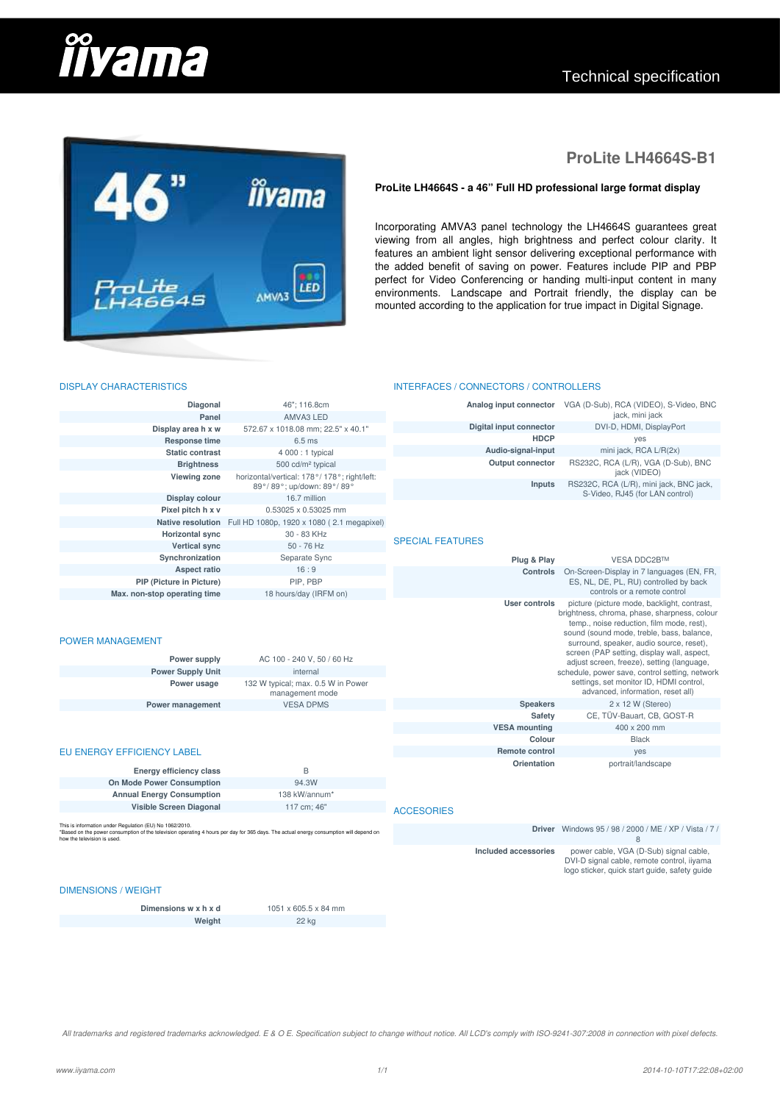# **îîvama**

## Technical specification



## **ProLite LH4664S-B1**

#### ProLite LH4664S - a 46" Full HD professional large format display

Incorporating AMVA3 panel technology the LH4664S guarantees great viewing from all angles, high brightness and perfect colour clarity. It features an ambient light sensor delivering exceptional performance with the added benefit of saving on power. Features include PIP and PBP perfect for Video Conferencing or handing multi-input content in many environments. Landscape and Portrait friendly, the display can be mounted according to the application for true impact in Digital Signage.

INTERFACES / CONNECTORS / CONTROLLERS

#### DISPLAY CHARACTERISTICS

| Diagonal                                                                                                                                                                                                                        | 46"; 116.8cm                                                              | Analog input connector  | VGA (D-Sub), RCA (VIDEO), S-Video, BNC<br>jack, mini jack                                                                                                                                                                         |
|---------------------------------------------------------------------------------------------------------------------------------------------------------------------------------------------------------------------------------|---------------------------------------------------------------------------|-------------------------|-----------------------------------------------------------------------------------------------------------------------------------------------------------------------------------------------------------------------------------|
| Panel                                                                                                                                                                                                                           | AMVA3 LED                                                                 | Digital input connector | DVI-D, HDMI, DisplayPort                                                                                                                                                                                                          |
| Display area h x w                                                                                                                                                                                                              | 572.67 x 1018.08 mm; 22.5" x 40.1"                                        | <b>HDCP</b>             | yes                                                                                                                                                                                                                               |
| Response time                                                                                                                                                                                                                   | 6.5 ms                                                                    | Audio-signal-input      | mini jack, RCA L/R(2x)                                                                                                                                                                                                            |
| <b>Static contrast</b>                                                                                                                                                                                                          | 4 000 : 1 typical                                                         | <b>Output connector</b> | RS232C, RCA (L/R), VGA (D-Sub), BNC                                                                                                                                                                                               |
| <b>Brightness</b>                                                                                                                                                                                                               | 500 cd/m <sup>2</sup> typical                                             |                         | jack (VIDEO)                                                                                                                                                                                                                      |
| <b>Viewing zone</b>                                                                                                                                                                                                             | horizontal/vertical: 178°/ 178°; right/left:<br>89°/89°; up/down: 89°/89° | Inputs                  | RS232C, RCA (L/R), mini jack, BNC jack,<br>S-Video, RJ45 (for LAN control)                                                                                                                                                        |
| Display colour                                                                                                                                                                                                                  | 16.7 million                                                              |                         |                                                                                                                                                                                                                                   |
| Pixel pitch h x v                                                                                                                                                                                                               | 0.53025 x 0.53025 mm                                                      |                         |                                                                                                                                                                                                                                   |
| Native resolution                                                                                                                                                                                                               | Full HD 1080p, 1920 x 1080 (2.1 megapixel)                                |                         |                                                                                                                                                                                                                                   |
| <b>Horizontal sync</b>                                                                                                                                                                                                          | 30 - 83 KHz                                                               | <b>SPECIAL FEATURES</b> |                                                                                                                                                                                                                                   |
| <b>Vertical sync</b>                                                                                                                                                                                                            | 50 - 76 Hz                                                                |                         |                                                                                                                                                                                                                                   |
| Synchronization                                                                                                                                                                                                                 | Separate Sync                                                             | Plug & Play             | VESA DDC2B™                                                                                                                                                                                                                       |
| <b>Aspect ratio</b>                                                                                                                                                                                                             | 16:9                                                                      | Controls                | On-Screen-Display in 7 languages (EN, FR,                                                                                                                                                                                         |
| <b>PIP (Picture in Picture)</b>                                                                                                                                                                                                 | PIP, PBP                                                                  |                         | ES, NL, DE, PL, RU) controlled by back                                                                                                                                                                                            |
| Max. non-stop operating time                                                                                                                                                                                                    | 18 hours/day (IRFM on)                                                    |                         | controls or a remote control                                                                                                                                                                                                      |
| <b>POWER MANAGEMENT</b>                                                                                                                                                                                                         |                                                                           | User controls           | picture (picture mode, backlight, contrast,<br>brightness, chroma, phase, sharpness, colour<br>temp., noise reduction, film mode, rest),<br>sound (sound mode, treble, bass, balance,<br>surround, speaker, audio source, reset), |
| Power supply                                                                                                                                                                                                                    | AC 100 - 240 V, 50 / 60 Hz                                                |                         | screen (PAP setting, display wall, aspect,<br>adjust screen, freeze), setting (language,                                                                                                                                          |
| <b>Power Supply Unit</b>                                                                                                                                                                                                        | internal                                                                  |                         | schedule, power save, control setting, network                                                                                                                                                                                    |
| Power usage                                                                                                                                                                                                                     | 132 W typical; max. 0.5 W in Power<br>management mode                     |                         | settings, set monitor ID, HDMI control,<br>advanced, information, reset all)                                                                                                                                                      |
| Power management                                                                                                                                                                                                                | <b>VESA DPMS</b>                                                          | <b>Speakers</b>         | $2 \times 12$ W (Stereo)                                                                                                                                                                                                          |
|                                                                                                                                                                                                                                 |                                                                           | Safety                  | CE, TÜV-Bauart, CB, GOST-R                                                                                                                                                                                                        |
|                                                                                                                                                                                                                                 |                                                                           | <b>VESA mounting</b>    | 400 x 200 mm                                                                                                                                                                                                                      |
|                                                                                                                                                                                                                                 |                                                                           | Colour                  | <b>Black</b>                                                                                                                                                                                                                      |
| <b>EU ENERGY EFFICIENCY LABEL</b>                                                                                                                                                                                               |                                                                           | <b>Remote control</b>   | yes                                                                                                                                                                                                                               |
| Energy efficiency class                                                                                                                                                                                                         | B                                                                         | Orientation             | portrait/landscape                                                                                                                                                                                                                |
| On Mode Power Consumption                                                                                                                                                                                                       | 94.3W                                                                     |                         |                                                                                                                                                                                                                                   |
| <b>Annual Energy Consumption</b>                                                                                                                                                                                                | 138 kW/annum*                                                             |                         |                                                                                                                                                                                                                                   |
| Visible Screen Diagonal                                                                                                                                                                                                         | 117 cm; 46"                                                               | <b>ACCESORIES</b>       |                                                                                                                                                                                                                                   |
| This is information under Regulation (EU) No 1062/2010.<br>Based on the power consumption of the television operating 4 hours per day for 365 days. The actual energy consumption will depend on<br>how the television is used. |                                                                           |                         | <b>Driver</b> Windows 95 / 98 / 2000 / ME / XP / Vista / 7 /<br>8                                                                                                                                                                 |
|                                                                                                                                                                                                                                 |                                                                           | Included accessories    | power cable, VGA (D-Sub) signal cable,<br>DVI-D signal cable, remote control, iiyama<br>logo sticker, quick start guide, safety guide                                                                                             |
| <b>DIMENSIONS / WEIGHT</b>                                                                                                                                                                                                      |                                                                           |                         |                                                                                                                                                                                                                                   |

**Dimensions w x h x d**  $1051 \times 605.5 \times 84 \text{ mm}$ **Weight** 22 kg

All trademarks and registered trademarks acknowledged. E & O E. Specification subject to change without notice. All LCD's comply with ISO-9241-307:2008 in connection with pixel defects.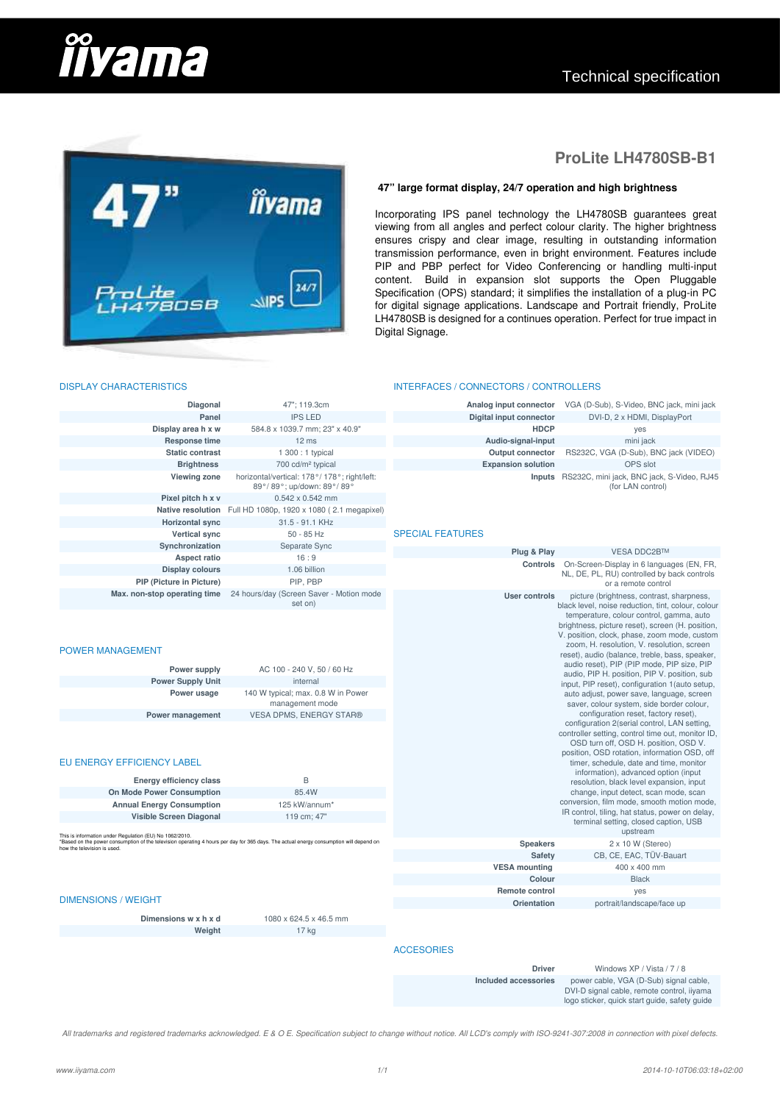# <u>iivama</u>



## **ProLite LH4780SB-B1**

#### **47" large format display, 24/7 operation and high brightness**

Incorporating IPS panel technology the LH4780SB guarantees great viewing from all angles and perfect colour clarity. The higher brightness rowing control in the settlem and clear image, resulting in outstanding information transmission performance, even in bright environment. Features include PIP and PBP perfect for Video Conferencing or handling multi-input content. Build in expansion slot supports the Open Pluggable Specification (OPS) standard; it simplifies the installation of a plug-in PC for digital signage applications. Landscape and Portrait friendly, ProLite LH4780SB is designed for a continues operation. Perfect for true impact in Digital Signage.

#### INTERFACES / CONNECTORS / CONTROLLERS

| Diagonal                                                                                                                                                                                                                                                           | 47"; 119.3cm                                                                                                                                                                               | Analog input connector    | VGA (D-Sub), S-Video, BNC jack, mini jack                                                                                                                                                                                                                                                                                                                                                                                                                                                                                                                                                                                                                                                                                                                                                                                                                                                                                                                                                                                                                                                             |
|--------------------------------------------------------------------------------------------------------------------------------------------------------------------------------------------------------------------------------------------------------------------|--------------------------------------------------------------------------------------------------------------------------------------------------------------------------------------------|---------------------------|-------------------------------------------------------------------------------------------------------------------------------------------------------------------------------------------------------------------------------------------------------------------------------------------------------------------------------------------------------------------------------------------------------------------------------------------------------------------------------------------------------------------------------------------------------------------------------------------------------------------------------------------------------------------------------------------------------------------------------------------------------------------------------------------------------------------------------------------------------------------------------------------------------------------------------------------------------------------------------------------------------------------------------------------------------------------------------------------------------|
| Panel                                                                                                                                                                                                                                                              | <b>IPS LED</b>                                                                                                                                                                             | Digital input connector   | DVI-D, 2 x HDMI, DisplayPort                                                                                                                                                                                                                                                                                                                                                                                                                                                                                                                                                                                                                                                                                                                                                                                                                                                                                                                                                                                                                                                                          |
| Display area h x w                                                                                                                                                                                                                                                 | 584.8 x 1039.7 mm; 23" x 40.9"                                                                                                                                                             | <b>HDCP</b>               | yes                                                                                                                                                                                                                                                                                                                                                                                                                                                                                                                                                                                                                                                                                                                                                                                                                                                                                                                                                                                                                                                                                                   |
| <b>Response time</b>                                                                                                                                                                                                                                               | 12 ms                                                                                                                                                                                      | Audio-signal-input        | mini jack                                                                                                                                                                                                                                                                                                                                                                                                                                                                                                                                                                                                                                                                                                                                                                                                                                                                                                                                                                                                                                                                                             |
| <b>Static contrast</b>                                                                                                                                                                                                                                             | 1 300 : 1 typical                                                                                                                                                                          | <b>Output connector</b>   | RS232C, VGA (D-Sub), BNC jack (VIDEO)                                                                                                                                                                                                                                                                                                                                                                                                                                                                                                                                                                                                                                                                                                                                                                                                                                                                                                                                                                                                                                                                 |
| <b>Brightness</b>                                                                                                                                                                                                                                                  | 700 cd/m <sup>2</sup> typical                                                                                                                                                              | <b>Expansion solution</b> | OPS slot                                                                                                                                                                                                                                                                                                                                                                                                                                                                                                                                                                                                                                                                                                                                                                                                                                                                                                                                                                                                                                                                                              |
| <b>Viewing zone</b>                                                                                                                                                                                                                                                | horizontal/vertical: 178°/ 178°; right/left:<br>89°/89°; up/down: 89°/89°                                                                                                                  | Inputs                    | RS232C, mini jack, BNC jack, S-Video, RJ45<br>(for LAN control)                                                                                                                                                                                                                                                                                                                                                                                                                                                                                                                                                                                                                                                                                                                                                                                                                                                                                                                                                                                                                                       |
| Pixel pitch h x v                                                                                                                                                                                                                                                  | $0.542 \times 0.542$ mm                                                                                                                                                                    |                           |                                                                                                                                                                                                                                                                                                                                                                                                                                                                                                                                                                                                                                                                                                                                                                                                                                                                                                                                                                                                                                                                                                       |
| Native resolution                                                                                                                                                                                                                                                  | Full HD 1080p, 1920 x 1080 (2.1 megapixel)                                                                                                                                                 |                           |                                                                                                                                                                                                                                                                                                                                                                                                                                                                                                                                                                                                                                                                                                                                                                                                                                                                                                                                                                                                                                                                                                       |
| <b>Horizontal sync</b>                                                                                                                                                                                                                                             | 31.5 - 91.1 KHz                                                                                                                                                                            |                           |                                                                                                                                                                                                                                                                                                                                                                                                                                                                                                                                                                                                                                                                                                                                                                                                                                                                                                                                                                                                                                                                                                       |
| Vertical sync                                                                                                                                                                                                                                                      | $50 - 85$ Hz                                                                                                                                                                               | <b>SPECIAL FEATURES</b>   |                                                                                                                                                                                                                                                                                                                                                                                                                                                                                                                                                                                                                                                                                                                                                                                                                                                                                                                                                                                                                                                                                                       |
| Synchronization                                                                                                                                                                                                                                                    | Separate Sync                                                                                                                                                                              |                           |                                                                                                                                                                                                                                                                                                                                                                                                                                                                                                                                                                                                                                                                                                                                                                                                                                                                                                                                                                                                                                                                                                       |
| <b>Aspect ratio</b>                                                                                                                                                                                                                                                | 16:9                                                                                                                                                                                       | Plug & Play               | <b>VESA DDC2B™</b>                                                                                                                                                                                                                                                                                                                                                                                                                                                                                                                                                                                                                                                                                                                                                                                                                                                                                                                                                                                                                                                                                    |
| <b>Display colours</b>                                                                                                                                                                                                                                             | 1.06 billion                                                                                                                                                                               | Controls                  | On-Screen-Display in 6 languages (EN, FR,                                                                                                                                                                                                                                                                                                                                                                                                                                                                                                                                                                                                                                                                                                                                                                                                                                                                                                                                                                                                                                                             |
| PIP (Picture in Picture)                                                                                                                                                                                                                                           | PIP, PBP                                                                                                                                                                                   |                           | NL, DE, PL, RU) controlled by back controls                                                                                                                                                                                                                                                                                                                                                                                                                                                                                                                                                                                                                                                                                                                                                                                                                                                                                                                                                                                                                                                           |
| Max. non-stop operating time                                                                                                                                                                                                                                       | 24 hours/day (Screen Saver - Motion mode                                                                                                                                                   | <b>User controls</b>      | or a remote control<br>picture (brightness, contrast, sharpness,                                                                                                                                                                                                                                                                                                                                                                                                                                                                                                                                                                                                                                                                                                                                                                                                                                                                                                                                                                                                                                      |
| <b>POWER MANAGEMENT</b><br>Power supply<br><b>Power Supply Unit</b><br>Power usage<br>Power management<br>EU ENERGY EFFICIENCY LABEL<br><b>Energy efficiency class</b><br>On Mode Power Consumption<br><b>Annual Energy Consumption</b><br>Visible Screen Diagonal | set on)<br>AC 100 - 240 V, 50 / 60 Hz<br>internal<br>140 W typical; max. 0.8 W in Power<br>management mode<br><b>VESA DPMS, ENERGY STAR®</b><br>B<br>85.4W<br>125 kW/annum*<br>119 cm; 47" |                           | black level, noise reduction, tint, colour, colour<br>temperature, colour control, gamma, auto<br>brightness, picture reset), screen (H. position,<br>V. position, clock, phase, zoom mode, custom<br>zoom, H. resolution, V. resolution, screen<br>reset), audio (balance, treble, bass, speaker,<br>audio reset), PIP (PIP mode, PIP size, PIP<br>audio, PIP H. position, PIP V. position, sub<br>input, PIP reset), configuration 1 (auto setup.<br>auto adjust, power save, language, screen<br>saver, colour system, side border colour,<br>configuration reset, factory reset),<br>configuration 2(serial control, LAN setting,<br>controller setting, control time out, monitor ID,<br>OSD turn off, OSD H. position, OSD V.<br>position, OSD rotation, information OSD, off<br>timer, schedule, date and time, monitor<br>information), advanced option (input<br>resolution, black level expansion, input<br>change, input detect, scan mode, scan<br>conversion, film mode, smooth motion mode,<br>IR control, tiling, hat status, power on delay,<br>terminal setting, closed caption, USB |
| This is information under Regulation (EU) No 1062/2010.<br>*Based on the power consumption of the television operating 4 hours per day for 365 days. The actual energy consumption will depend on                                                                  |                                                                                                                                                                                            |                           | upstream                                                                                                                                                                                                                                                                                                                                                                                                                                                                                                                                                                                                                                                                                                                                                                                                                                                                                                                                                                                                                                                                                              |
| how the television is used.                                                                                                                                                                                                                                        |                                                                                                                                                                                            | <b>Speakers</b>           | $2 \times 10$ W (Stereo)                                                                                                                                                                                                                                                                                                                                                                                                                                                                                                                                                                                                                                                                                                                                                                                                                                                                                                                                                                                                                                                                              |
|                                                                                                                                                                                                                                                                    |                                                                                                                                                                                            | Safety                    | CB, CE, EAC, TÜV-Bauart                                                                                                                                                                                                                                                                                                                                                                                                                                                                                                                                                                                                                                                                                                                                                                                                                                                                                                                                                                                                                                                                               |
|                                                                                                                                                                                                                                                                    |                                                                                                                                                                                            | <b>VESA mounting</b>      | 400 x 400 mm                                                                                                                                                                                                                                                                                                                                                                                                                                                                                                                                                                                                                                                                                                                                                                                                                                                                                                                                                                                                                                                                                          |
|                                                                                                                                                                                                                                                                    |                                                                                                                                                                                            | Colour                    | <b>Black</b>                                                                                                                                                                                                                                                                                                                                                                                                                                                                                                                                                                                                                                                                                                                                                                                                                                                                                                                                                                                                                                                                                          |
| <b>DIMENSIONS / WEIGHT</b>                                                                                                                                                                                                                                         |                                                                                                                                                                                            | Remote control            | yes                                                                                                                                                                                                                                                                                                                                                                                                                                                                                                                                                                                                                                                                                                                                                                                                                                                                                                                                                                                                                                                                                                   |
|                                                                                                                                                                                                                                                                    |                                                                                                                                                                                            | Orientation               | portrait/landscape/face up                                                                                                                                                                                                                                                                                                                                                                                                                                                                                                                                                                                                                                                                                                                                                                                                                                                                                                                                                                                                                                                                            |
| Dimensions w x h x d                                                                                                                                                                                                                                               | 1080 x 624.5 x 46.5 mm                                                                                                                                                                     |                           |                                                                                                                                                                                                                                                                                                                                                                                                                                                                                                                                                                                                                                                                                                                                                                                                                                                                                                                                                                                                                                                                                                       |
| Weight                                                                                                                                                                                                                                                             | 17 kg                                                                                                                                                                                      |                           |                                                                                                                                                                                                                                                                                                                                                                                                                                                                                                                                                                                                                                                                                                                                                                                                                                                                                                                                                                                                                                                                                                       |
|                                                                                                                                                                                                                                                                    |                                                                                                                                                                                            | <b>ACCESORIES</b>         |                                                                                                                                                                                                                                                                                                                                                                                                                                                                                                                                                                                                                                                                                                                                                                                                                                                                                                                                                                                                                                                                                                       |
|                                                                                                                                                                                                                                                                    |                                                                                                                                                                                            | <b>Driver</b>             | Windows XP / Vista / 7 / 8                                                                                                                                                                                                                                                                                                                                                                                                                                                                                                                                                                                                                                                                                                                                                                                                                                                                                                                                                                                                                                                                            |

All trademarks and registered trademarks acknowledged. E & O E. Specification subject to change without notice. All LCD's comply with ISO-9241-307:2008 in connection with pixel defects.

#### DISPLAY CHARACTERISTICS

**Included accessories** power cable, VGA (D-Sub) signal cable,

DVI-D signal cable, remote control, iiyama<br>logo sticker, quick start guide, safety guide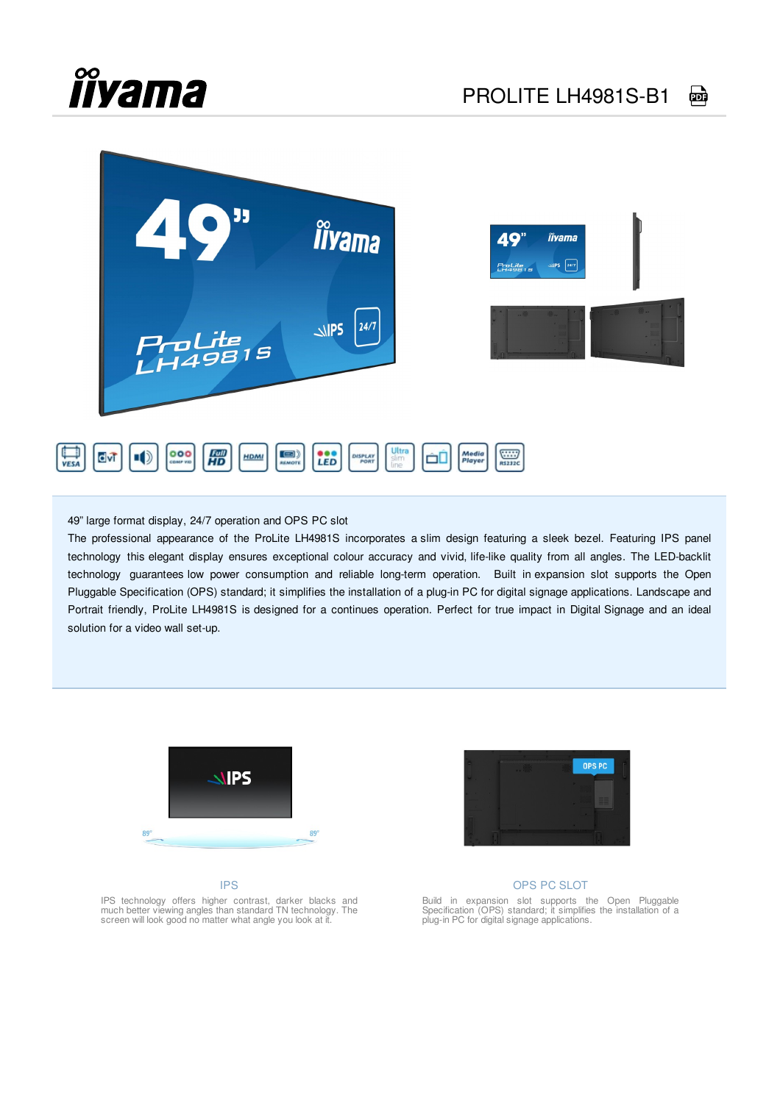## **îîyama**



49" large format display, 24/7 operation and OPS PC slot

The professional appearance of the ProLite LH4981S incorporates a slim design featuring a sleek bezel. Featuring IPS panel technology this elegant display ensures exceptional colour accuracy and vivid, life-like quality from all angles. The LED-backlit technology guarantees low power consumption and reliable long-term operation. Built in expansion slot supports the Open Pluggable Specification (OPS) standard; it simplifies the installation of a plug-in PC for digital signage applications. Landscape and Portrait friendly, ProLite LH4981S is designed for a continues operation. Perfect for true impact in Digital Signage and an ideal solution for a video wall set-up.



#### IPS



#### OPS PC SLOT

Build in expansion slot supports the Open Pluggable Specification (OPS) standard; it simplifies the installation of a plug-in PC for digital signage applications.

IPS technology offers higher contrast, darker blacks and much better viewing angles than standard TN technology. The screen will look good no matter what angle you look at it.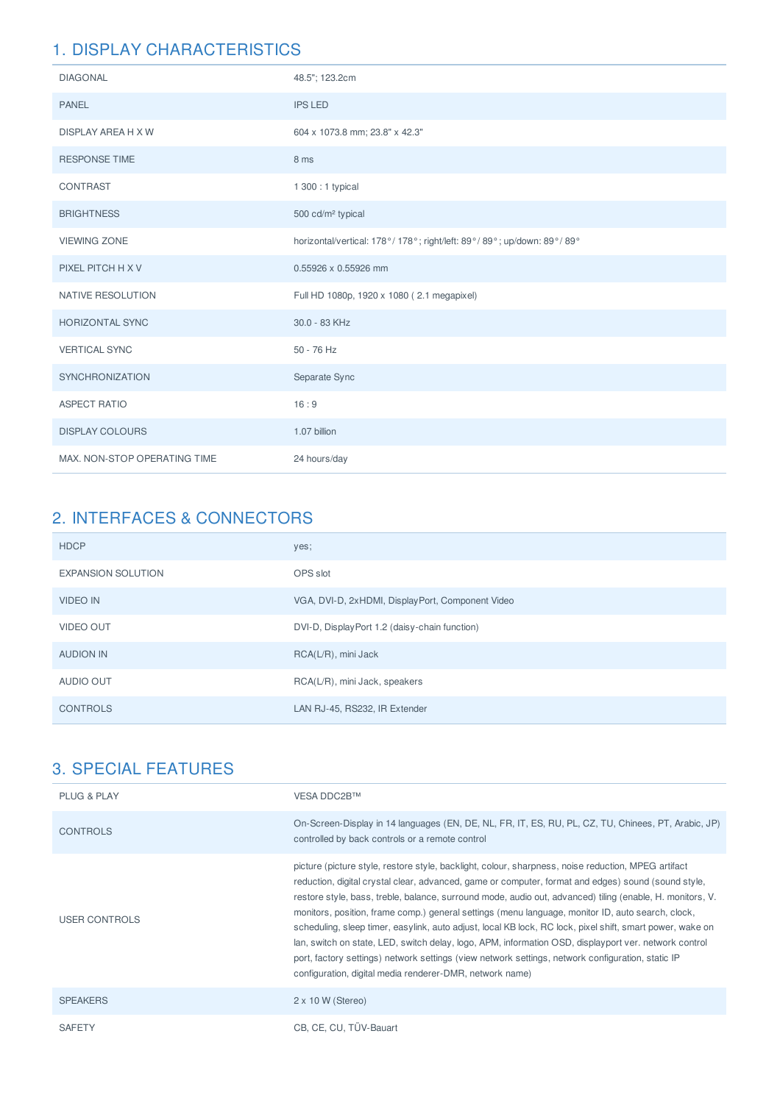| <b>DIAGONAL</b>              | 48.5"; 123.2cm                                                        |
|------------------------------|-----------------------------------------------------------------------|
| <b>PANEL</b>                 | <b>IPS LED</b>                                                        |
| DISPLAY AREA H X W           | 604 x 1073.8 mm; 23.8" x 42.3"                                        |
| <b>RESPONSE TIME</b>         | 8 ms                                                                  |
| CONTRAST                     | 1 300 : 1 typical                                                     |
| <b>BRIGHTNESS</b>            | 500 cd/m <sup>2</sup> typical                                         |
| <b>VIEWING ZONE</b>          | horizontal/vertical: 178°/178°; right/left: 89°/89°; up/down: 89°/89° |
| PIXEL PITCH H X V            | 0.55926 x 0.55926 mm                                                  |
| NATIVE RESOLUTION            | Full HD 1080p, 1920 x 1080 (2.1 megapixel)                            |
| <b>HORIZONTAL SYNC</b>       | 30.0 - 83 KHz                                                         |
| <b>VERTICAL SYNC</b>         | $50 - 76$ Hz                                                          |
| <b>SYNCHRONIZATION</b>       | Separate Sync                                                         |
| <b>ASPECT RATIO</b>          | 16:9                                                                  |
| <b>DISPLAY COLOURS</b>       | 1.07 billion                                                          |
| MAX. NON-STOP OPERATING TIME | 24 hours/day                                                          |

## 2. INTERFACES & CONNECTORS

| <b>HDCP</b>               | yes;                                             |
|---------------------------|--------------------------------------------------|
| <b>EXPANSION SOLUTION</b> | OPS slot                                         |
| <b>VIDEO IN</b>           | VGA, DVI-D, 2xHDMI, DisplayPort, Component Video |
| <b>VIDEO OUT</b>          | DVI-D, DisplayPort 1.2 (daisy-chain function)    |
| <b>AUDION IN</b>          | RCA(L/R), mini Jack                              |
| AUDIO OUT                 | RCA(L/R), mini Jack, speakers                    |
| <b>CONTROLS</b>           | LAN RJ-45, RS232, IR Extender                    |

| <b>PLUG &amp; PLAY</b> | VESA DDC2B™                                                                                                                                                                                                                                                                                                                                                                                                                                                                                                                                                                                                                                                                                                                                                                                                         |
|------------------------|---------------------------------------------------------------------------------------------------------------------------------------------------------------------------------------------------------------------------------------------------------------------------------------------------------------------------------------------------------------------------------------------------------------------------------------------------------------------------------------------------------------------------------------------------------------------------------------------------------------------------------------------------------------------------------------------------------------------------------------------------------------------------------------------------------------------|
| <b>CONTROLS</b>        | On-Screen-Display in 14 languages (EN, DE, NL, FR, IT, ES, RU, PL, CZ, TU, Chinees, PT, Arabic, JP)<br>controlled by back controls or a remote control                                                                                                                                                                                                                                                                                                                                                                                                                                                                                                                                                                                                                                                              |
| <b>USER CONTROLS</b>   | picture (picture style, restore style, backlight, colour, sharpness, noise reduction, MPEG artifact<br>reduction, digital crystal clear, advanced, game or computer, format and edges) sound (sound style,<br>restore style, bass, treble, balance, surround mode, audio out, advanced) tiling (enable, H. monitors, V.<br>monitors, position, frame comp.) general settings (menu language, monitor ID, auto search, clock,<br>scheduling, sleep timer, easylink, auto adjust, local KB lock, RC lock, pixel shift, smart power, wake on<br>lan, switch on state, LED, switch delay, logo, APM, information OSD, displayport ver, network control<br>port, factory settings) network settings (view network settings, network configuration, static IP<br>configuration, digital media renderer-DMR, network name) |
| <b>SPEAKERS</b>        | $2 \times 10$ W (Stereo)                                                                                                                                                                                                                                                                                                                                                                                                                                                                                                                                                                                                                                                                                                                                                                                            |
| <b>SAFETY</b>          | CB, CE, CU, TÜV-Bauart                                                                                                                                                                                                                                                                                                                                                                                                                                                                                                                                                                                                                                                                                                                                                                                              |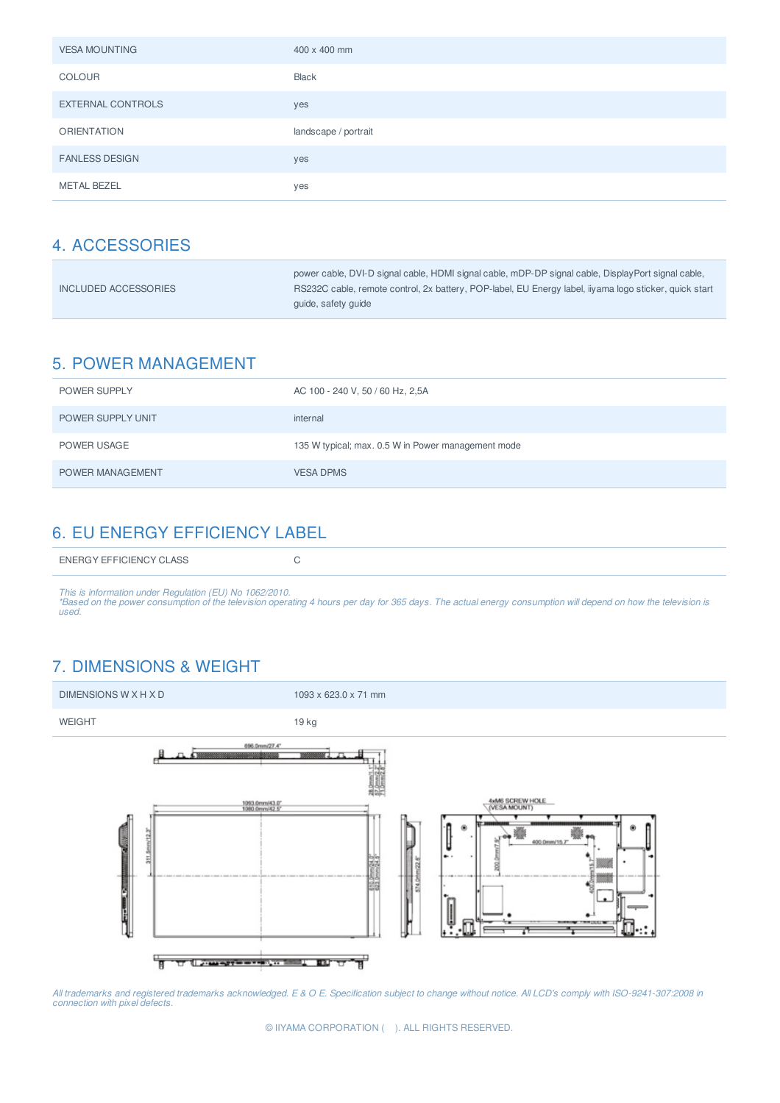| <b>VESA MOUNTING</b>     | 400 x 400 mm         |
|--------------------------|----------------------|
| <b>COLOUR</b>            | Black                |
| <b>EXTERNAL CONTROLS</b> | yes                  |
| <b>ORIENTATION</b>       | landscape / portrait |
| <b>FANLESS DESIGN</b>    | yes                  |
| <b>METAL BEZEL</b>       | yes                  |

|                      | power cable, DVI-D signal cable, HDMI signal cable, mDP-DP signal cable, DisplayPort signal cable,     |
|----------------------|--------------------------------------------------------------------------------------------------------|
| INCLUDED ACCESSORIES | RS232C cable, remote control, 2x battery, POP-label, EU Energy label, iiyama logo sticker, quick start |
|                      | quide, safety quide                                                                                    |

## 5. POWER MANAGEMENT

| <b>POWER SUPPLY</b>     | AC 100 - 240 V, 50 / 60 Hz, 2,5A                   |
|-------------------------|----------------------------------------------------|
| POWER SUPPLY UNIT       | internal                                           |
| POWER USAGE             | 135 W typical; max. 0.5 W in Power management mode |
| <b>POWER MANAGEMENT</b> | <b>VESA DPMS</b>                                   |

## 6. EU ENERGY EFFICIENCY LABEL

This is information under Regulation (EU) No 1062/2010.<br>\*Based on the power consumption of the television operating 4 hours per day for 365 days. The actual energy consumption will depend on how the television is<br>used.

## 7. DIMENSIONS & WEIGHT



All trademarks and registered trademarks acknowledged. E & O E. Specification subject to change without notice. All LCD's comply with ISO-9241-307:2008 in<br>connection with pixel defects.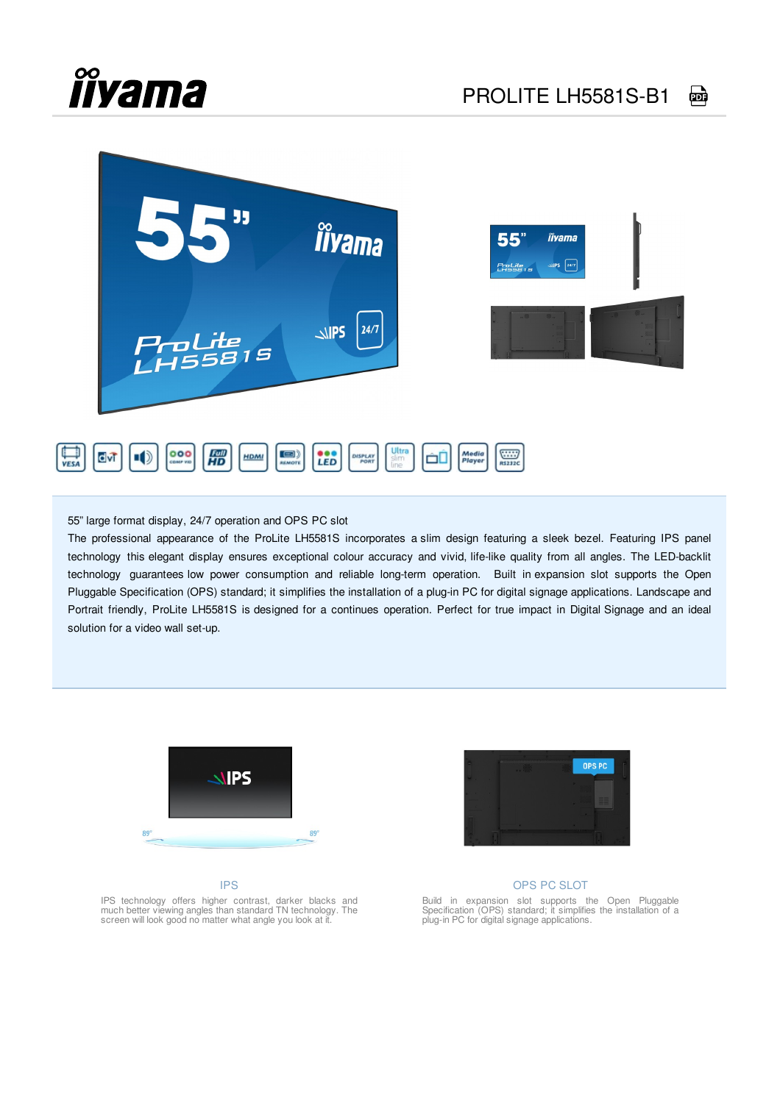## **îîyama**



55" large format display, 24/7 operation and OPS PC slot

The professional appearance of the ProLite LH5581S incorporates a slim design featuring a sleek bezel. Featuring IPS panel technology this elegant display ensures exceptional colour accuracy and vivid, life-like quality from all angles. The LED-backlit technology guarantees low power consumption and reliable long-term operation. Built in expansion slot supports the Open Pluggable Specification (OPS) standard; it simplifies the installation of a plug-in PC for digital signage applications. Landscape and Portrait friendly, ProLite LH5581S is designed for a continues operation. Perfect for true impact in Digital Signage and an ideal solution for a video wall set-up.



#### IPS



#### OPS PC SLOT

Build in expansion slot supports the Open Pluggable Specification (OPS) standard; it simplifies the installation of a plug-in PC for digital signage applications.

IPS technology offers higher contrast, darker blacks and much better viewing angles than standard TN technology. The screen will look good no matter what angle you look at it.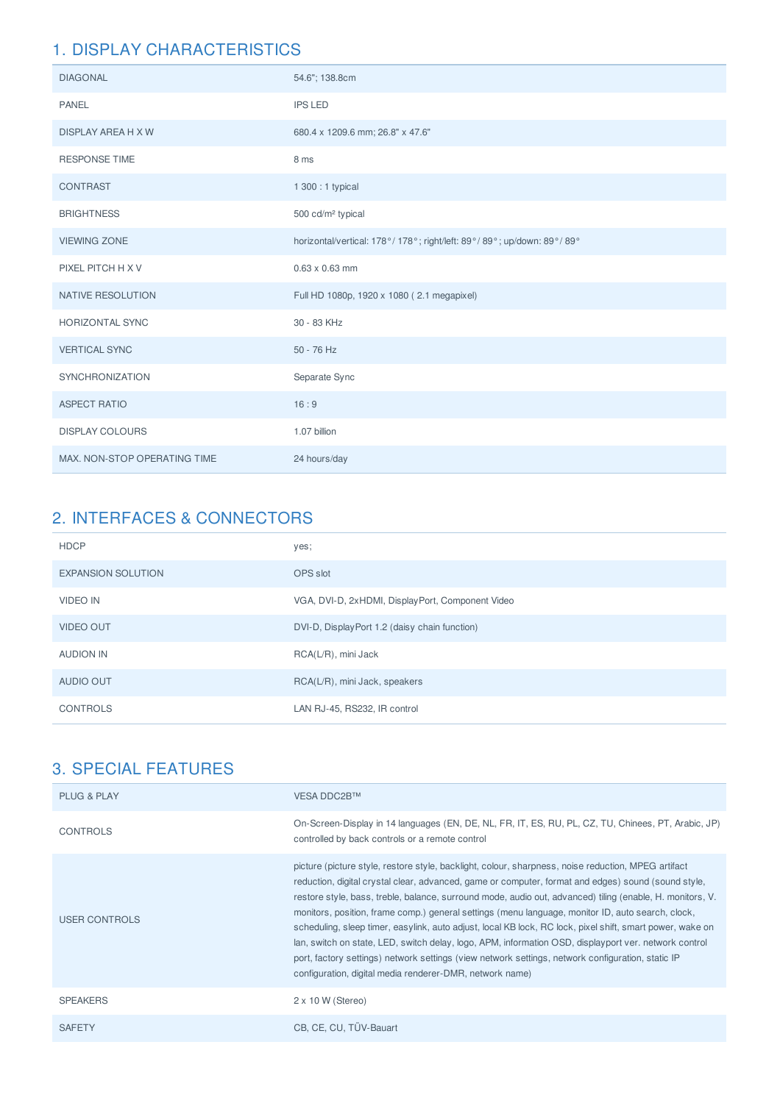| <b>DIAGONAL</b>              | 54.6"; 138.8cm                                                        |  |  |
|------------------------------|-----------------------------------------------------------------------|--|--|
| <b>PANEL</b>                 | <b>IPS LED</b>                                                        |  |  |
| <b>DISPLAY AREA H X W</b>    | 680.4 x 1209.6 mm; 26.8" x 47.6"                                      |  |  |
| <b>RESPONSE TIME</b>         | 8 ms                                                                  |  |  |
| <b>CONTRAST</b>              | 1 300 : 1 typical                                                     |  |  |
| <b>BRIGHTNESS</b>            | 500 cd/m <sup>2</sup> typical                                         |  |  |
| <b>VIEWING ZONE</b>          | horizontal/vertical: 178°/178°; right/left: 89°/89°; up/down: 89°/89° |  |  |
| PIXEL PITCH H X V            | $0.63 \times 0.63$ mm                                                 |  |  |
| <b>NATIVE RESOLUTION</b>     | Full HD 1080p, 1920 x 1080 (2.1 megapixel)                            |  |  |
| <b>HORIZONTAL SYNC</b>       | 30 - 83 KHz                                                           |  |  |
| <b>VERTICAL SYNC</b>         | 50 - 76 Hz                                                            |  |  |
| <b>SYNCHRONIZATION</b>       | Separate Sync                                                         |  |  |
| <b>ASPECT RATIO</b>          | 16:9                                                                  |  |  |
| <b>DISPLAY COLOURS</b>       | 1.07 billion                                                          |  |  |
| MAX. NON-STOP OPERATING TIME | 24 hours/day                                                          |  |  |

## 2. INTERFACES & CONNECTORS

| <b>HDCP</b>               | yes;                                             |
|---------------------------|--------------------------------------------------|
| <b>EXPANSION SOLUTION</b> | OPS slot                                         |
| <b>VIDEO IN</b>           | VGA, DVI-D, 2xHDMI, DisplayPort, Component Video |
| <b>VIDEO OUT</b>          | DVI-D, DisplayPort 1.2 (daisy chain function)    |
| AUDION IN                 | RCA(L/R), mini Jack                              |
| AUDIO OUT                 | RCA(L/R), mini Jack, speakers                    |
| CONTROLS                  | LAN RJ-45, RS232, IR control                     |

| <b>PLUG &amp; PLAY</b> | VESA DDC2B™                                                                                                                                                                                                                                                                                                                                                                                                                                                                                                                                                                                                                                                                                                                                                                                                         |
|------------------------|---------------------------------------------------------------------------------------------------------------------------------------------------------------------------------------------------------------------------------------------------------------------------------------------------------------------------------------------------------------------------------------------------------------------------------------------------------------------------------------------------------------------------------------------------------------------------------------------------------------------------------------------------------------------------------------------------------------------------------------------------------------------------------------------------------------------|
| <b>CONTROLS</b>        | On-Screen-Display in 14 languages (EN, DE, NL, FR, IT, ES, RU, PL, CZ, TU, Chinees, PT, Arabic, JP)<br>controlled by back controls or a remote control                                                                                                                                                                                                                                                                                                                                                                                                                                                                                                                                                                                                                                                              |
| USER CONTROLS          | picture (picture style, restore style, backlight, colour, sharpness, noise reduction, MPEG artifact<br>reduction, digital crystal clear, advanced, game or computer, format and edges) sound (sound style,<br>restore style, bass, treble, balance, surround mode, audio out, advanced) tiling (enable, H. monitors, V.<br>monitors, position, frame comp.) general settings (menu language, monitor ID, auto search, clock,<br>scheduling, sleep timer, easylink, auto adjust, local KB lock, RC lock, pixel shift, smart power, wake on<br>lan, switch on state, LED, switch delay, logo, APM, information OSD, displayport ver. network control<br>port, factory settings) network settings (view network settings, network configuration, static IP<br>configuration, digital media renderer-DMR, network name) |
| <b>SPEAKERS</b>        | $2 \times 10$ W (Stereo)                                                                                                                                                                                                                                                                                                                                                                                                                                                                                                                                                                                                                                                                                                                                                                                            |
| <b>SAFETY</b>          | CB, CE, CU, TÜV-Bauart                                                                                                                                                                                                                                                                                                                                                                                                                                                                                                                                                                                                                                                                                                                                                                                              |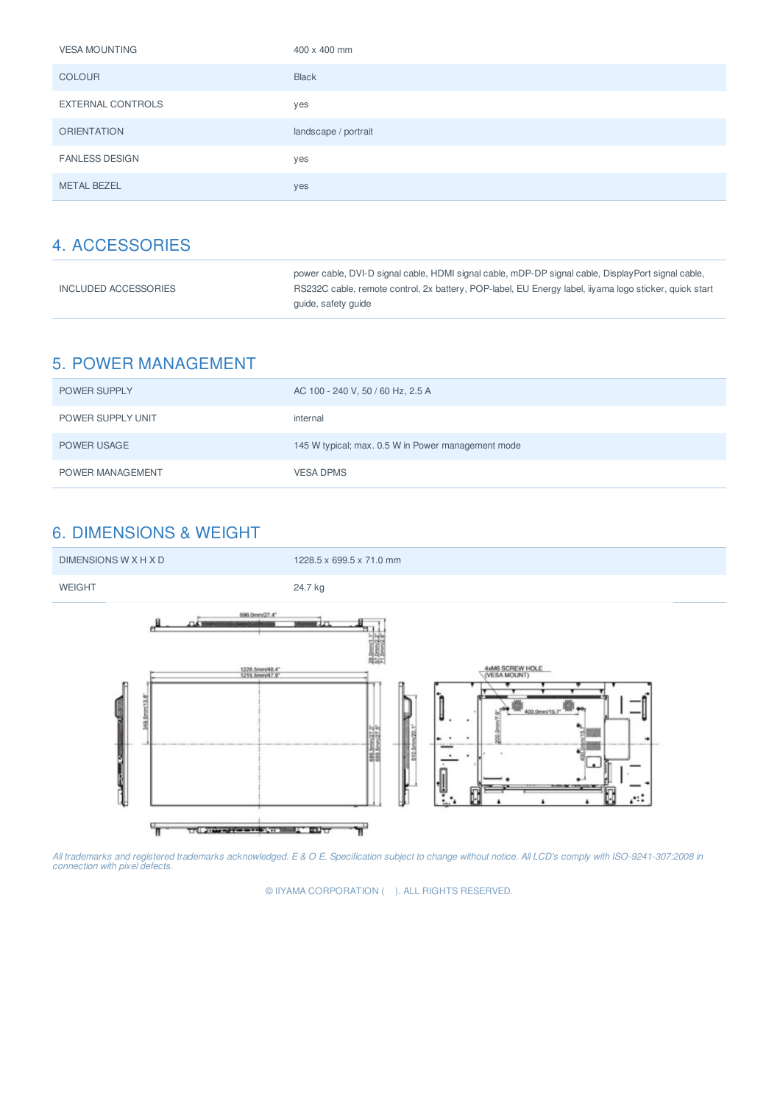| <b>VESA MOUNTING</b>  | 400 x 400 mm         |
|-----------------------|----------------------|
| <b>COLOUR</b>         | <b>Black</b>         |
| EXTERNAL CONTROLS     | yes                  |
| <b>ORIENTATION</b>    | landscape / portrait |
| <b>FANLESS DESIGN</b> | yes                  |
| <b>METAL BEZEL</b>    | yes                  |

|                      | power cable, DVI-D signal cable, HDMI signal cable, mDP-DP signal cable, DisplayPort signal cable,     |
|----------------------|--------------------------------------------------------------------------------------------------------|
| INCLUDED ACCESSORIES | RS232C cable, remote control, 2x battery, POP-label, EU Energy label, iiyama logo sticker, quick start |
|                      | quide, safety quide                                                                                    |

## 5. POWER MANAGEMENT

| <b>POWER SUPPLY</b> | AC 100 - 240 V, 50 / 60 Hz, 2.5 A                  |
|---------------------|----------------------------------------------------|
| POWER SUPPLY UNIT   | internal                                           |
| POWER USAGE         | 145 W typical; max. 0.5 W in Power management mode |
| POWER MANAGEMENT    | <b>VESA DPMS</b>                                   |

## 6. DIMENSIONS & WEIGHT



All trademarks and registered trademarks acknowledged. E & O E. Specification subject to change without notice. All LCD's comply with ISO-9241-307:2008 in<br>connection with pixel defects.

© IIYAMA CORPORATION ( ). ALL RIGHTS RESERVED.